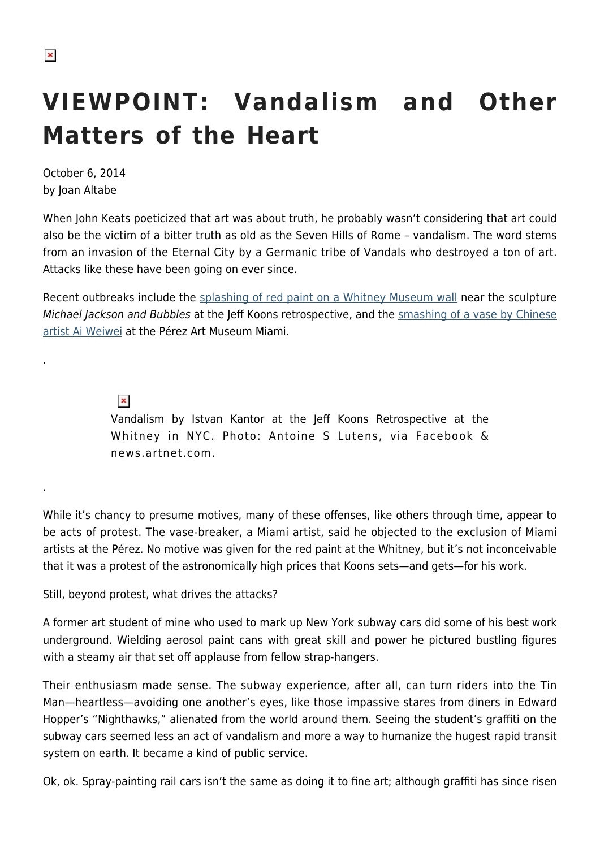.

.

## **VIEWPOINT: Vandalism and Other Matters of the Heart**

October 6, 2014 by Joan Altabe

When John Keats poeticized that art was about truth, he probably wasn't considering that art could also be the victim of a bitter truth as old as the Seven Hills of Rome – vandalism. The word stems from an invasion of the Eternal City by a Germanic tribe of Vandals who destroyed a ton of art. Attacks like these have been going on ever since.

Recent outbreaks include the [splashing of red paint on a Whitney Museum wall](http://news.artnet.com/in-brief/jeff-koons-retrospective-vandalized-83171) near the sculpture Michael Jackson and Bubbles at the Jeff Koons retrospective, and the [smashing of a vase by Chinese](http://www.nytimes.com/2014/02/18/arts/design/ai-weiwei-vase-destroyed-by-protester-at-miami-museum.html?_r=0) [artist Ai Weiwei](http://www.nytimes.com/2014/02/18/arts/design/ai-weiwei-vase-destroyed-by-protester-at-miami-museum.html?_r=0) at the Pérez Art Museum Miami.

 $\pmb{\times}$ 

Vandalism by Istvan Kantor at the Jeff Koons Retrospective at the Whitney in NYC. Photo: Antoine S Lutens, via Facebook & news.artnet.com.

While it's chancy to presume motives, many of these offenses, like others through time, appear to be acts of protest. The vase-breaker, a Miami artist, said he objected to the exclusion of Miami artists at the Pérez. No motive was given for the red paint at the Whitney, but it's not inconceivable that it was a protest of the astronomically high prices that Koons sets—and gets—for his work.

Still, beyond protest, what drives the attacks?

A former art student of mine who used to mark up New York subway cars did some of his best work underground. Wielding aerosol paint cans with great skill and power he pictured bustling figures with a steamy air that set off applause from fellow strap-hangers.

Their enthusiasm made sense. The subway experience, after all, can turn riders into the Tin Man—heartless—avoiding one another's eyes, like those impassive stares from diners in Edward Hopper's "Nighthawks," alienated from the world around them. Seeing the student's graffiti on the subway cars seemed less an act of vandalism and more a way to humanize the hugest rapid transit system on earth. It became a kind of public service.

Ok, ok. Spray-painting rail cars isn't the same as doing it to fine art; although graffiti has since risen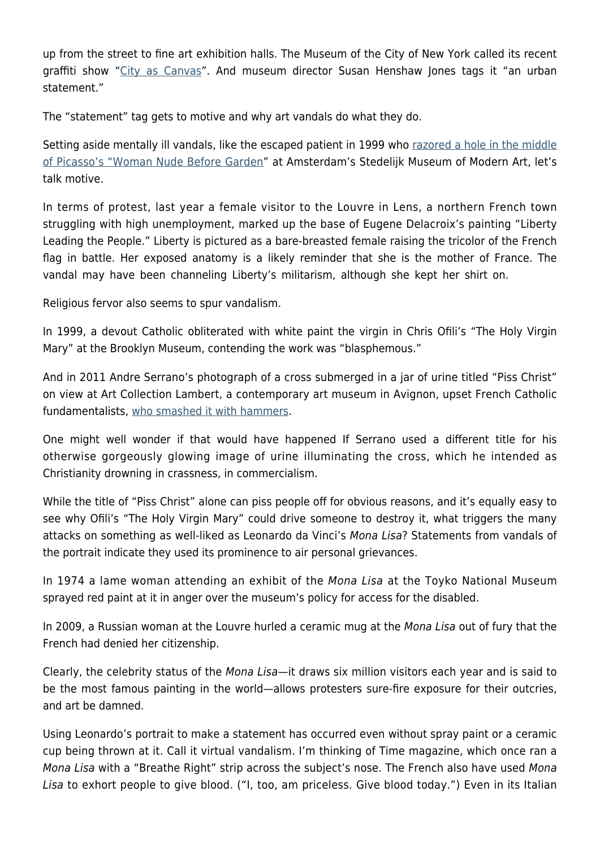up from the street to fine art exhibition halls. The Museum of the City of New York called its recent graffiti show ["City as Canvas"](http://www.mcny.org/content/city-canvas). And museum director Susan Henshaw Jones tags it "an urban statement."

The "statement" tag gets to motive and why art vandals do what they do.

Setting aside mentally ill vandals, like the escaped patient in 1999 who [razored a hole in the middle](http://www.apnewsarchive.com/1999/Masterpieces-Seen-As-Vulnerable/id-7e8865a5a432881a61c1d5144ac4d32a) [of Picasso's "Woman Nude Before Garden](http://www.apnewsarchive.com/1999/Masterpieces-Seen-As-Vulnerable/id-7e8865a5a432881a61c1d5144ac4d32a)" at Amsterdam's Stedelijk Museum of Modern Art, let's talk motive.

In terms of protest, last year a female visitor to the Louvre in Lens, a northern French town struggling with high unemployment, marked up the base of Eugene Delacroix's painting "Liberty Leading the People." Liberty is pictured as a bare-breasted female raising the tricolor of the French flag in battle. Her exposed anatomy is a likely reminder that she is the mother of France. The vandal may have been channeling Liberty's militarism, although she kept her shirt on.

Religious fervor also seems to spur vandalism.

In 1999, a devout Catholic obliterated with white paint the virgin in Chris Ofili's "The Holy Virgin Mary" at the Brooklyn Museum, contending the work was "blasphemous."

And in 2011 Andre Serrano's photograph of a cross submerged in a jar of urine titled "Piss Christ" on view at Art Collection Lambert, a contemporary art museum in Avignon, upset French Catholic fundamentalists, [who smashed it with hammers](http://www.theguardian.com/world/2011/apr/18/andres-serrano-piss-christ-destroyed-christian-protesters).

One might well wonder if that would have happened If Serrano used a different title for his otherwise gorgeously glowing image of urine illuminating the cross, which he intended as Christianity drowning in crassness, in commercialism.

While the title of "Piss Christ" alone can piss people off for obvious reasons, and it's equally easy to see why Ofili's "The Holy Virgin Mary" could drive someone to destroy it, what triggers the many attacks on something as well-liked as Leonardo da Vinci's Mona Lisa? Statements from vandals of the portrait indicate they used its prominence to air personal grievances.

In 1974 a lame woman attending an exhibit of the Mona Lisa at the Toyko National Museum sprayed red paint at it in anger over the museum's policy for access for the disabled.

In 2009, a Russian woman at the Louvre hurled a ceramic mug at the Mona Lisa out of fury that the French had denied her citizenship.

Clearly, the celebrity status of the Mona Lisa—it draws six million visitors each year and is said to be the most famous painting in the world—allows protesters sure-fire exposure for their outcries, and art be damned.

Using Leonardo's portrait to make a statement has occurred even without spray paint or a ceramic cup being thrown at it. Call it virtual vandalism. I'm thinking of Time magazine, which once ran a Mona Lisa with a "Breathe Right" strip across the subject's nose. The French also have used Mona Lisa to exhort people to give blood. ("I, too, am priceless. Give blood today.") Even in its Italian